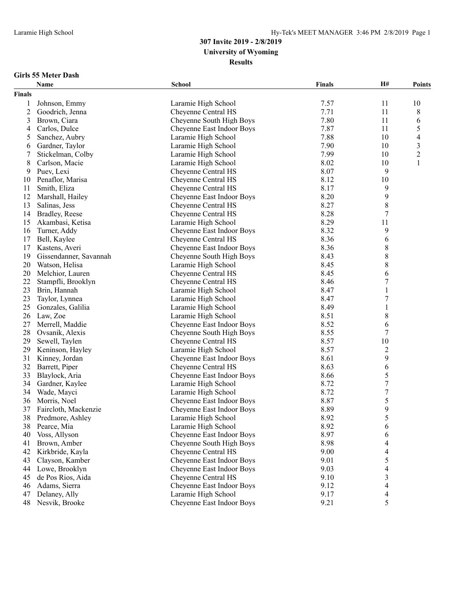#### **Girls 55 Meter Dash**

|               | Name                   | <b>School</b>             | <b>Finals</b> | H#               | Points         |
|---------------|------------------------|---------------------------|---------------|------------------|----------------|
| <b>Finals</b> |                        |                           |               |                  |                |
| 1             | Johnson, Emmy          | Laramie High School       | 7.57          | 11               | 10             |
| 2             | Goodrich, Jenna        | Cheyenne Central HS       | 7.71          | 11               | 8              |
| 3             | Brown, Ciara           | Cheyenne South High Boys  | 7.80          | 11               | 6              |
| 4             | Carlos, Dulce          | Cheyenne East Indoor Boys | 7.87          | 11               | 5              |
| 5             | Sanchez, Aubry         | Laramie High School       | 7.88          | 10               | 4              |
| 6             | Gardner, Taylor        | Laramie High School       | 7.90          | 10               | $\mathfrak{Z}$ |
| 7             | Stickelman, Colby      | Laramie High School       | 7.99          | 10               | $\overline{c}$ |
| 8             | Carlson, Macie         | Laramie High School       | 8.02          | 10               | 1              |
| 9             | Puev, Lexi             | Cheyenne Central HS       | 8.07          | 9                |                |
| 10            | Penaflor, Marisa       | Cheyenne Central HS       | 8.12          | 10               |                |
| 11            | Smith, Eliza           | Cheyenne Central HS       | 8.17          | 9                |                |
| 12            | Marshall, Hailey       | Cheyenne East Indoor Boys | 8.20          | 9                |                |
| 13            | Salinas, Jess          | Cheyenne Central HS       | 8.27          | 8                |                |
| 14            | Bradley, Reese         | Cheyenne Central HS       | 8.28          | 7                |                |
| 15            | Akambasi, Ketisa       | Laramie High School       | 8.29          | 11               |                |
| 16            | Turner, Addy           | Cheyenne East Indoor Boys | 8.32          | 9                |                |
| 17            | Bell, Kaylee           | Cheyenne Central HS       | 8.36          | 6                |                |
| 17            | Kastens, Averi         | Cheyenne East Indoor Boys | 8.36          | 8                |                |
| 19            | Gissendanner, Savannah | Cheyenne South High Boys  | 8.43          | 8                |                |
| 20            | Watson, Helisa         | Laramie High School       | 8.45          | 8                |                |
| 20            | Melchior, Lauren       | Cheyenne Central HS       | 8.45          | 6                |                |
| 22            | Stampfli, Brooklyn     | Cheyenne Central HS       | 8.46          | 7                |                |
| 23            | Brin, Hannah           | Laramie High School       | 8.47          | $\mathbf{1}$     |                |
| 23            | Taylor, Lynnea         | Laramie High School       | 8.47          | 7                |                |
| 25            | Gonzales, Galilia      | Laramie High School       | 8.49          | $\mathbf{1}$     |                |
| 26            | Law, Zoe               | Laramie High School       | 8.51          | 8                |                |
| 27            | Merrell, Maddie        | Cheyenne East Indoor Boys | 8.52          | 6                |                |
| 28            | Ovsanik, Alexis        | Cheyenne South High Boys  | 8.55          | 7                |                |
| 29            | Sewell, Taylen         | Cheyenne Central HS       | 8.57          | $10\,$           |                |
| 29            | Keninson, Hayley       | Laramie High School       | 8.57          | 2                |                |
| 31            | Kinney, Jordan         | Cheyenne East Indoor Boys | 8.61          | 9                |                |
| 32            | Barrett, Piper         | Cheyenne Central HS       | 8.63          | 6                |                |
| 33            | Blaylock, Aria         | Cheyenne East Indoor Boys | 8.66          | 5                |                |
| 34            | Gardner, Kaylee        | Laramie High School       | 8.72          | 7                |                |
| 34            | Wade, Mayci            | Laramie High School       | 8.72          | $\boldsymbol{7}$ |                |
| 36            | Morris, Noel           | Cheyenne East Indoor Boys | 8.87          | 5                |                |
| 37            | Faircloth, Mackenzie   | Cheyenne East Indoor Boys | 8.89          | 9                |                |
| 38            | Predmore, Ashley       | Laramie High School       | 8.92          | 5                |                |
| 38            | Pearce, Mia            | Laramie High School       | 8.92          | 6                |                |
| 40            | Voss, Allyson          | Cheyenne East Indoor Boys | 8.97          | 6                |                |
| 41            | Brown, Amber           | Cheyenne South High Boys  | 8.98          | 4                |                |
| 42            | Kirkbride, Kayla       | Cheyenne Central HS       | 9.00          | 4                |                |
| 43            | Clayson, Kamber        | Cheyenne East Indoor Boys | 9.01          | 5                |                |
| 44            | Lowe, Brooklyn         | Cheyenne East Indoor Boys | 9.03          | 4                |                |
| 45            | de Pos Rios, Aida      | Cheyenne Central HS       | 9.10          | 3                |                |
| 46            | Adams, Sierra          | Cheyenne East Indoor Boys | 9.12          | 4                |                |
| 47            | Delaney, Ally          | Laramie High School       | 9.17          | 4                |                |
| 48            | Nesvik, Brooke         | Cheyenne East Indoor Boys | 9.21          | 5                |                |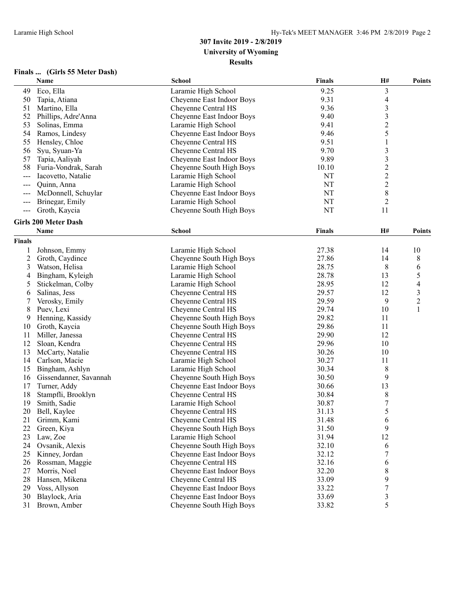| Finals |  |  | (Girls 55 Meter Dash) |  |
|--------|--|--|-----------------------|--|
|--------|--|--|-----------------------|--|

|                | Name                        | School                    | <b>Finals</b> | H#               | <b>Points</b>  |
|----------------|-----------------------------|---------------------------|---------------|------------------|----------------|
| 49             | Eco, Ella                   | Laramie High School       | 9.25          | 3                |                |
| 50             | Tapia, Atiana               | Cheyenne East Indoor Boys | 9.31          | 4                |                |
| 51             | Martino, Ella               | Cheyenne Central HS       | 9.36          | 3                |                |
| 52             | Phillips, Adre'Anna         | Cheyenne East Indoor Boys | 9.40          | 3                |                |
| 53             | Solinas, Emma               | Laramie High School       | 9.41          | $\boldsymbol{2}$ |                |
| 54             | Ramos, Lindesy              | Cheyenne East Indoor Boys | 9.46          | 5                |                |
| 55             | Hensley, Chloe              | Cheyenne Central HS       | 9.51          | 1                |                |
| 56             | Syu, Syuan-Ya               | Cheyenne Central HS       | 9.70          | $\mathfrak{Z}$   |                |
| 57             | Tapia, Aaliyah              | Cheyenne East Indoor Boys | 9.89          | $\mathfrak{Z}$   |                |
| 58             | Furia-Vondrak, Sarah        | Cheyenne South High Boys  | 10.10         | $\overline{c}$   |                |
|                | Iacovetto, Natalie          | Laramie High School       | NT            | $\boldsymbol{2}$ |                |
|                | Quinn, Anna                 | Laramie High School       | NT            | $\boldsymbol{2}$ |                |
|                | McDonnell, Schuylar         | Cheyenne East Indoor Boys | NT            | $\,8\,$          |                |
| ---            | Brinegar, Emily             | Laramie High School       | NT            | $\overline{c}$   |                |
| $\sim$ $\sim$  | Groth, Kaycia               | Cheyenne South High Boys  | <b>NT</b>     | 11               |                |
|                |                             |                           |               |                  |                |
|                | <b>Girls 200 Meter Dash</b> |                           |               |                  |                |
|                | Name                        | School                    | <b>Finals</b> | H#               | <b>Points</b>  |
| Finals         |                             |                           |               |                  |                |
| 1              | Johnson, Emmy               | Laramie High School       | 27.38         | 14               | 10             |
| $\overline{c}$ | Groth, Caydince             | Cheyenne South High Boys  | 27.86         | 14               | 8              |
| 3              | Watson, Helisa              | Laramie High School       | 28.75         | 8                | 6              |
| 4              | Bingham, Kyleigh            | Laramie High School       | 28.78         | 13               | 5              |
| 5              | Stickelman, Colby           | Laramie High School       | 28.95         | 12               | 4              |
| 6              | Salinas, Jess               | Cheyenne Central HS       | 29.57         | 12               | $\mathfrak{Z}$ |
| 7              | Verosky, Emily              | Cheyenne Central HS       | 29.59         | 9                | $\overline{c}$ |
| 8              | Puev, Lexi                  | Cheyenne Central HS       | 29.74         | 10               | $\mathbf{1}$   |
| 9              | Henning, Kassidy            | Cheyenne South High Boys  | 29.82         | 11               |                |
| 10             | Groth, Kaycia               | Cheyenne South High Boys  | 29.86         | 11               |                |
| 11             | Miller, Janessa             | Cheyenne Central HS       | 29.90         | 12               |                |
| 12             | Sloan, Kendra               | Cheyenne Central HS       | 29.96         | 10               |                |
| 13             | McCarty, Natalie            | Cheyenne Central HS       | 30.26         | 10               |                |
| 14             | Carlson, Macie              | Laramie High School       | 30.27         | 11               |                |
| 15             | Bingham, Ashlyn             | Laramie High School       | 30.34         | 8                |                |
| 16             | Gissendanner, Savannah      | Cheyenne South High Boys  | 30.50         | 9                |                |
| 17             | Turner, Addy                | Cheyenne East Indoor Boys | 30.66         | 13               |                |
| 18             | Stampfli, Brooklyn          | Cheyenne Central HS       | 30.84         | $\,$ 8 $\,$      |                |
| 19             | Smith, Sadie                | Laramie High School       | 30.87         | $\boldsymbol{7}$ |                |
| 20             | Bell, Kaylee                | Cheyenne Central HS       | 31.13         | 5                |                |
| 21             | Grimm, Kami                 | Cheyenne Central HS       | 31.48         | 6                |                |
| 22             | Green, Kiya                 | Cheyenne South High Boys  | 31.50         | 9                |                |
| 23             | Law, Zoe                    | Laramie High School       | 31.94         | 12               |                |
| 24             | Ovsanik, Alexis             | Cheyenne South High Boys  | 32.10         | 6                |                |
| 25             | Kinney, Jordan              | Cheyenne East Indoor Boys | 32.12         | 7                |                |
| 26             | Rossman, Maggie             | Cheyenne Central HS       | 32.16         | 6                |                |
| 27             | Morris, Noel                | Cheyenne East Indoor Boys | 32.20         | 8                |                |
| 28             | Hansen, Mikena              | Cheyenne Central HS       | 33.09         | 9                |                |
| 29             | Voss, Allyson               | Cheyenne East Indoor Boys | 33.22         | 7                |                |
| 30             | Blaylock, Aria              | Cheyenne East Indoor Boys | 33.69         | 3                |                |
| 31             | Brown, Amber                | Cheyenne South High Boys  | 33.82         | 5                |                |
|                |                             |                           |               |                  |                |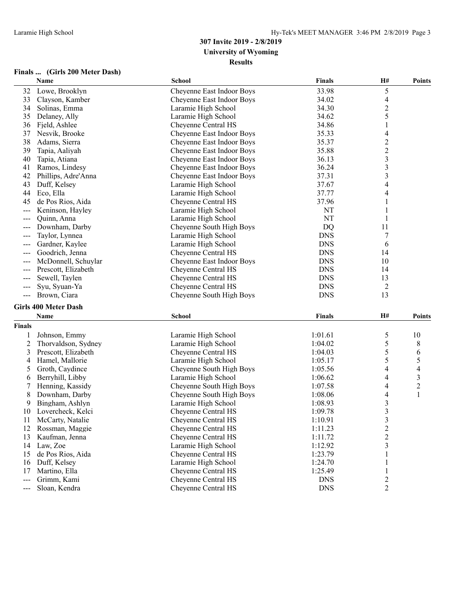#### **Finals ... (Girls 200 Meter Dash)**

|                | Name                        | <b>School</b>             | Finals        | H#                       | <b>Points</b>  |
|----------------|-----------------------------|---------------------------|---------------|--------------------------|----------------|
| 32             | Lowe, Brooklyn              | Cheyenne East Indoor Boys | 33.98         | 5                        |                |
| 33             | Clayson, Kamber             | Cheyenne East Indoor Boys | 34.02         | 4                        |                |
| 34             | Solinas, Emma               | Laramie High School       | 34.30         | $\overline{c}$           |                |
| 35             | Delaney, Ally               | Laramie High School       | 34.62         | 5                        |                |
| 36             | Fjeld, Ashlee               | Cheyenne Central HS       | 34.86         | $\mathbf{1}$             |                |
| 37             | Nesvik, Brooke              | Cheyenne East Indoor Boys | 35.33         | 4                        |                |
| 38             | Adams, Sierra               | Cheyenne East Indoor Boys | 35.37         | $\overline{\mathbf{c}}$  |                |
| 39             | Tapia, Aaliyah              | Cheyenne East Indoor Boys | 35.88         | $\overline{c}$           |                |
| 40             | Tapia, Atiana               | Cheyenne East Indoor Boys | 36.13         | 3                        |                |
| 41             | Ramos, Lindesy              | Cheyenne East Indoor Boys | 36.24         | 3                        |                |
| 42             | Phillips, Adre'Anna         | Cheyenne East Indoor Boys | 37.31         | $\overline{\mathbf{3}}$  |                |
| 43             | Duff, Kelsey                | Laramie High School       | 37.67         | $\overline{\mathcal{A}}$ |                |
| 44             | Eco, Ella                   | Laramie High School       | 37.77         | 4                        |                |
| 45             | de Pos Rios, Aida           | Cheyenne Central HS       | 37.96         | 1                        |                |
| $ -$           | Keninson, Hayley            | Laramie High School       | NT            |                          |                |
| $  -$          | Quinn, Anna                 | Laramie High School       | NT            | 1                        |                |
|                | Downham, Darby              | Cheyenne South High Boys  | <b>DQ</b>     | 11                       |                |
| $\frac{1}{2}$  | Taylor, Lynnea              | Laramie High School       | <b>DNS</b>    | $\overline{7}$           |                |
| $---$          | Gardner, Kaylee             | Laramie High School       | <b>DNS</b>    | 6                        |                |
| $  -$          | Goodrich, Jenna             | Cheyenne Central HS       | <b>DNS</b>    | 14                       |                |
|                | McDonnell, Schuylar         | Cheyenne East Indoor Boys | <b>DNS</b>    | 10                       |                |
|                | Prescott, Elizabeth         | Cheyenne Central HS       | <b>DNS</b>    | 14                       |                |
|                | Sewell, Taylen              | Cheyenne Central HS       | <b>DNS</b>    | 13                       |                |
|                | Syu, Syuan-Ya               | Cheyenne Central HS       | <b>DNS</b>    | $\overline{2}$           |                |
| $\sim$ $\sim$  | Brown, Ciara                | Cheyenne South High Boys  | <b>DNS</b>    | 13                       |                |
|                | <b>Girls 400 Meter Dash</b> |                           |               |                          |                |
|                | Name                        | <b>School</b>             | <b>Finals</b> | Н#                       | <b>Points</b>  |
| Finals         |                             |                           |               |                          |                |
| 1              | Johnson, Emmy               | Laramie High School       | 1:01.61       | 5                        | 10             |
| $\overline{c}$ | Thorvaldson, Sydney         | Laramie High School       | 1:04.02       | 5                        | 8              |
| 3              | Prescott, Elizabeth         | Cheyenne Central HS       | 1:04.03       | 5                        | 6              |
| 4              | Hamel, Mallorie             | Laramie High School       | 1:05.17       | 5                        | 5              |
| 5              | Groth, Caydince             | Cheyenne South High Boys  | 1:05.56       | 4                        | 4              |
| 6              | Berryhill, Libby            | Laramie High School       | 1:06.62       | 4                        | 3              |
| 7              | Henning, Kassidy            | Cheyenne South High Boys  | 1:07.58       | 4                        | $\overline{c}$ |
| 8              | Downham, Darby              | Cheyenne South High Boys  | 1:08.06       | 4                        | 1              |
| 9              | Bingham, Ashlyn             | Laramie High School       | 1:08.93       | 3                        |                |
| 10             | Lovercheck, Kelci           | Cheyenne Central HS       | 1:09.78       | 3                        |                |
| 11             | McCarty, Natalie            | Cheyenne Central HS       | 1:10.91       | 3                        |                |
| 12             | Rossman, Maggie             | Cheyenne Central HS       | 1:11.23       |                          |                |
| 13             | Kaufman, Jenna              | Cheyenne Central HS       | 1:11.72       | $\frac{2}{2}$            |                |
| 14             | Law, Zoe                    | Laramie High School       | 1:12.92       | 3                        |                |
| 15             | de Pos Rios, Aida           | Cheyenne Central HS       | 1:23.79       | 1                        |                |
| 16             | Duff, Kelsey                | Laramie High School       | 1:24.70       |                          |                |
| 17             | Martino, Ella               | Cheyenne Central HS       | 1:25.49       | 1                        |                |
| $---$          | Grimm, Kami                 | Cheyenne Central HS       | <b>DNS</b>    | 2                        |                |
| $\frac{1}{2}$  | Sloan, Kendra               | Cheyenne Central HS       | <b>DNS</b>    | 2                        |                |
|                |                             |                           |               |                          |                |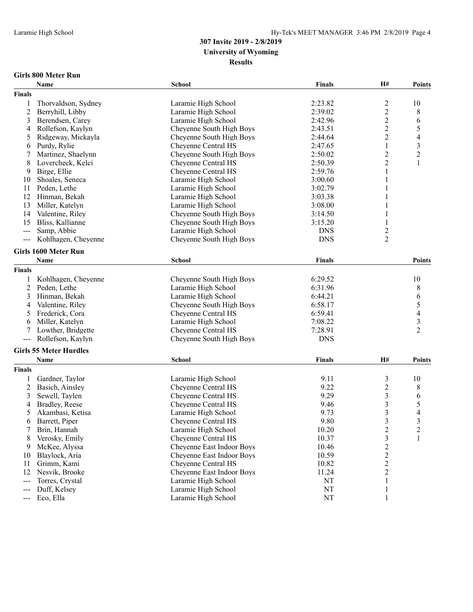#### **Girls 800 Meter Run**

|                | Name                          | School                    | Finals        | H#                      | <b>Points</b>            |
|----------------|-------------------------------|---------------------------|---------------|-------------------------|--------------------------|
| <b>Finals</b>  |                               |                           |               |                         |                          |
| 1              | Thorvaldson, Sydney           | Laramie High School       | 2:23.82       | $\overline{c}$          | 10                       |
| $\overline{2}$ | Berryhill, Libby              | Laramie High School       | 2:39.02       | $\overline{c}$          | 8                        |
| 3              | Berendsen, Carey              | Laramie High School       | 2:42.96       | $\overline{c}$          | 6                        |
| 4              | Rollefson, Kaylyn             | Cheyenne South High Boys  | 2:43.51       | $\overline{c}$          | 5                        |
| 5              | Ridgeway, Mickayla            | Cheyenne South High Boys  | 2:44.64       | $\overline{c}$          | $\overline{\mathcal{A}}$ |
| 6              | Purdy, Rylie                  | Cheyenne Central HS       | 2:47.65       | $\mathbf{1}$            | $\overline{\mathbf{3}}$  |
| $\overline{7}$ | Martinez, Shaelynn            | Cheyenne South High Boys  | 2:50.02       | $\overline{c}$          | $\overline{c}$           |
| 8              | Lovercheck, Kelci             | Cheyenne Central HS       | 2:50.39       | $\overline{c}$          | 1                        |
| 9              | Birge, Ellie                  | Cheyenne Central HS       | 2:59.76       | 1                       |                          |
| 10             | Shoales, Seneca               | Laramie High School       | 3:00.60       | 1                       |                          |
| 11             | Peden, Lethe                  | Laramie High School       | 3:02.79       | 1                       |                          |
| 12             | Hinman, Bekah                 | Laramie High School       | 3:03.38       | $\mathbf{1}$            |                          |
| 13             | Miller, Katelyn               | Laramie High School       | 3:08.00       | 1                       |                          |
| 14             | Valentine, Riley              | Cheyenne South High Boys  | 3:14.50       | 1                       |                          |
| 15             | Bliss, Kallianne              | Cheyenne South High Boys  | 3:15.20       | 1                       |                          |
| $---$          | Samp, Abbie                   | Laramie High School       | <b>DNS</b>    | 2                       |                          |
|                | Kohlhagen, Cheyenne           | Cheyenne South High Boys  | <b>DNS</b>    | $\overline{2}$          |                          |
|                |                               |                           |               |                         |                          |
|                | Girls 1600 Meter Run          |                           |               |                         |                          |
|                | Name                          | School                    | <b>Finals</b> |                         | <b>Points</b>            |
| <b>Finals</b>  |                               |                           |               |                         |                          |
| 1              | Kohlhagen, Cheyenne           | Cheyenne South High Boys  | 6:29.52       |                         | 10                       |
| $\overline{2}$ | Peden, Lethe                  | Laramie High School       | 6:31.96       |                         | $\,$ $\,$                |
| 3              | Hinman, Bekah                 | Laramie High School       | 6:44.21       |                         | 6                        |
| 4              | Valentine, Riley              | Cheyenne South High Boys  | 6:58.17       |                         | 5                        |
| 5              | Frederick, Cora               | Cheyenne Central HS       | 6:59.41       |                         | $\overline{\mathcal{A}}$ |
| 6              | Miller, Katelyn               | Laramie High School       | 7:08.22       |                         | $\overline{\mathbf{3}}$  |
| 7              | Lowther, Bridgette            | Cheyenne Central HS       | 7:28.91       |                         | $\overline{2}$           |
| $---$          | Rollefson, Kaylyn             | Cheyenne South High Boys  | <b>DNS</b>    |                         |                          |
|                | <b>Girls 55 Meter Hurdles</b> |                           |               |                         |                          |
|                | Name                          | <b>School</b>             | <b>Finals</b> | H#                      | <b>Points</b>            |
|                |                               |                           |               |                         |                          |
| <b>Finals</b>  |                               |                           |               |                         |                          |
| 1              | Gardner, Taylor               | Laramie High School       | 9.11          | $\mathfrak{Z}$          | 10                       |
| $\overline{c}$ | Basich, Ainsley               | Cheyenne Central HS       | 9.22          | $\boldsymbol{2}$        | 8                        |
| 3              | Sewell, Taylen                | Cheyenne Central HS       | 9.29          | 3                       | 6                        |
| 4              | Bradley, Reese                | Cheyenne Central HS       | 9.46          | 3                       | 5                        |
| 5              | Akambasi, Ketisa              | Laramie High School       | 9.73          | 3                       | 4                        |
| 6              | Barrett, Piper                | Cheyenne Central HS       | 9.80          | 3                       | 3                        |
|                | Brin, Hannah                  | Laramie High School       | 10.20         | $\overline{\mathbf{c}}$ |                          |
| 8              | Verosky, Emily                | Cheyenne Central HS       | 10.37         | $\mathfrak{Z}$          | 1                        |
| 9              | McKee, Alyssa                 | Cheyenne East Indoor Boys | 10.46         | $\overline{\mathbf{c}}$ |                          |
| 10             | Blaylock, Aria                | Cheyenne East Indoor Boys | 10.59         | $\frac{2}{2}$           |                          |
| 11             | Grimm, Kami                   | Cheyenne Central HS       | 10.82         |                         |                          |
| 12             | Nesvik, Brooke                | Cheyenne East Indoor Boys | 11.24         | $\overline{c}$          |                          |
| ---            | Torres, Crystal               | Laramie High School       | NT            | 1                       |                          |
| ---            | Duff, Kelsey                  | Laramie High School       | NT            | $\mathbf{1}$            |                          |
| $---$          | Eco, Ella                     | Laramie High School       | NT            | $\mathbf{1}$            |                          |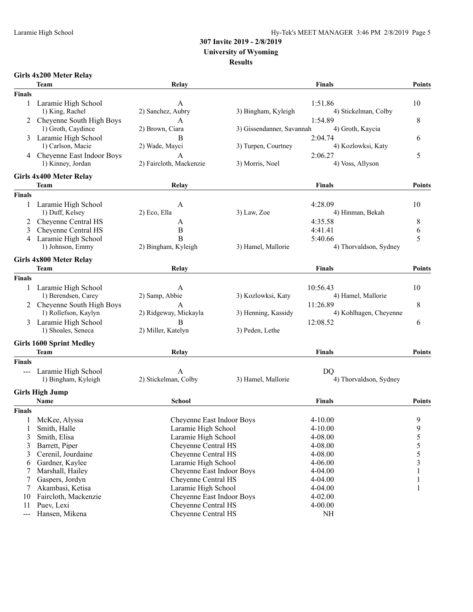### **307 Invite 2019 - 2/8/2019**

**University of Wyoming**

#### **Results**

| Girls 4x200 Meter Relay |  |  |
|-------------------------|--|--|
|-------------------------|--|--|

|               | Team                            | Relay                        |                           | <b>Finals</b>          | <b>Points</b> |
|---------------|---------------------------------|------------------------------|---------------------------|------------------------|---------------|
| <b>Finals</b> |                                 |                              |                           |                        |               |
|               | 1 Laramie High School           | A                            |                           | 1:51.86                | 10            |
|               | 1) King, Rachel                 | 2) Sanchez, Aubry            | 3) Bingham, Kyleigh       | 4) Stickelman, Colby   |               |
| 2             | Cheyenne South High Boys        | А                            |                           | 1:54.89                | 8             |
|               | 1) Groth, Caydince              | 2) Brown, Ciara              | 3) Gissendanner, Savannah | 4) Groth, Kaycia       |               |
| 3             | Laramie High School             | B                            |                           | 2:04.74                | 6             |
|               | 1) Carlson, Macie               | 2) Wade, Mayci               | 3) Turpen, Courtney       | 4) Kozlowksi, Katy     |               |
|               | 4 Cheyenne East Indoor Boys     | А<br>2) Faircloth, Mackenzie |                           | 2:06.27                | 5             |
|               | 1) Kinney, Jordan               |                              | 3) Morris, Noel           | 4) Voss, Allyson       |               |
|               | Girls 4x400 Meter Relay         |                              |                           |                        |               |
|               | <b>Team</b>                     | Relay                        |                           | <b>Finals</b>          | <b>Points</b> |
| <b>Finals</b> |                                 |                              |                           |                        |               |
| 1             | Laramie High School             | A                            |                           | 4:28.09                | 10            |
|               | 1) Duff, Kelsey                 | 2) Eco, Ella                 | 3) Law, Zoe               | 4) Hinman, Bekah       |               |
|               | Cheyenne Central HS             | A                            |                           | 4:35.58                | 8             |
| 3             | Cheyenne Central HS             | B                            |                           | 4:41.41                | 6             |
| 4             | Laramie High School             | B                            |                           | 5:40.66                | 5             |
|               | 1) Johnson, Emmy                | 2) Bingham, Kyleigh          | 3) Hamel, Mallorie        | 4) Thorvaldson, Sydney |               |
|               | Girls 4x800 Meter Relay         |                              |                           |                        |               |
|               | Team                            | Relay                        |                           | <b>Finals</b>          | <b>Points</b> |
| <b>Finals</b> |                                 |                              |                           |                        |               |
| 1             | Laramie High School             | А                            |                           | 10:56.43               | 10            |
|               | 1) Berendsen, Carey             | 2) Samp, Abbie               | 3) Kozlowksi, Katy        | 4) Hamel, Mallorie     |               |
| 2             | Cheyenne South High Boys        | A                            |                           | 11:26.89               | 8             |
|               | 1) Rollefson, Kaylyn            | 2) Ridgeway, Mickayla        | 3) Henning, Kassidy       | 4) Kohlhagen, Cheyenne |               |
| 3             | Laramie High School             | B                            |                           | 12:08.52               | 6             |
|               | 1) Shoales, Seneca              | 2) Miller, Katelyn           | 3) Peden, Lethe           |                        |               |
|               | <b>Girls 1600 Sprint Medley</b> |                              |                           |                        |               |
|               | <b>Team</b>                     | Relay                        |                           | <b>Finals</b>          | <b>Points</b> |
| <b>Finals</b> |                                 |                              |                           |                        |               |
|               | Laramie High School             | А                            |                           | DO                     |               |
|               | 1) Bingham, Kyleigh             | 2) Stickelman, Colby         | 3) Hamel, Mallorie        | 4) Thorvaldson, Sydney |               |
|               |                                 |                              |                           |                        |               |
|               | <b>Girls High Jump</b>          |                              |                           |                        |               |
|               | Name                            | <b>School</b>                |                           | <b>Finals</b>          | <b>Points</b> |
| <b>Finals</b> |                                 |                              |                           |                        |               |
| 1             | McKee, Alyssa                   | Cheyenne East Indoor Boys    |                           | $4 - 10.00$            | 9             |
| 1             | Smith, Halle                    | Laramie High School          |                           | $4 - 10.00$            | 9             |
| 3             | Smith, Elisa                    | Laramie High School          |                           | 4-08.00                | 5             |
| 3             | Barrett, Piper                  | Cheyenne Central HS          |                           | 4-08.00                | 5             |
| 3             | Cerenil, Jourdaine              | Cheyenne Central HS          |                           | 4-08.00                | 5             |
| 6             | Gardner, Kaylee                 | Laramie High School          |                           | $4 - 06.00$            | 3             |
| 7             | Marshall, Hailey                | Cheyenne East Indoor Boys    |                           | 4-04.00                |               |
| 7             | Gaspers, Jordyn                 | Cheyenne Central HS          |                           | 4-04.00                |               |
| 7             | Akambasi, Ketisa                | Laramie High School          |                           | 4-04.00                | 1             |
| 10            | Faircloth, Mackenzie            | Cheyenne East Indoor Boys    |                           | $4 - 02.00$            |               |
| 11            | Puev, Lexi                      | Cheyenne Central HS          |                           | $4 - 00.00$            |               |
| $---$         | Hansen, Mikena                  | Cheyenne Central HS          |                           | <b>NH</b>              |               |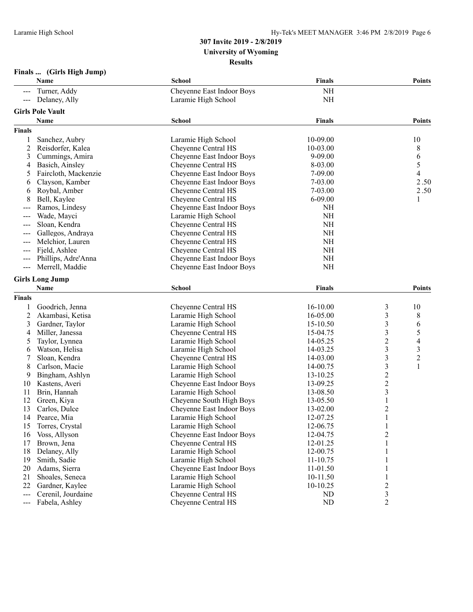#### **Finals ... (Girls High Jump)**

|                                                                                                                                                                                                                                                                                                                                                                                              | Name                    | <b>School</b>                              | <b>Finals</b> |                  | <b>Points</b>  |
|----------------------------------------------------------------------------------------------------------------------------------------------------------------------------------------------------------------------------------------------------------------------------------------------------------------------------------------------------------------------------------------------|-------------------------|--------------------------------------------|---------------|------------------|----------------|
|                                                                                                                                                                                                                                                                                                                                                                                              | Turner, Addy            | Cheyenne East Indoor Boys                  | <b>NH</b>     |                  |                |
| $\sim$ $\sim$ $\sim$                                                                                                                                                                                                                                                                                                                                                                         | Delaney, Ally           | Laramie High School                        | NH            |                  |                |
|                                                                                                                                                                                                                                                                                                                                                                                              | <b>Girls Pole Vault</b> |                                            |               |                  |                |
|                                                                                                                                                                                                                                                                                                                                                                                              | Name                    | <b>School</b>                              | <b>Finals</b> |                  | <b>Points</b>  |
| <b>Finals</b>                                                                                                                                                                                                                                                                                                                                                                                |                         |                                            |               |                  |                |
|                                                                                                                                                                                                                                                                                                                                                                                              |                         |                                            | 10-09.00      |                  | 10             |
| 1                                                                                                                                                                                                                                                                                                                                                                                            | Sanchez, Aubry          | Laramie High School<br>Cheyenne Central HS | 10-03.00      |                  |                |
| $\overline{c}$                                                                                                                                                                                                                                                                                                                                                                               | Reisdorfer, Kalea       |                                            |               |                  | 8              |
| 3                                                                                                                                                                                                                                                                                                                                                                                            | Cummings, Amira         | Cheyenne East Indoor Boys                  | 9-09.00       |                  | 6              |
| 4                                                                                                                                                                                                                                                                                                                                                                                            | Basich, Ainsley         | Cheyenne Central HS                        | 8-03.00       |                  | 5              |
| 5                                                                                                                                                                                                                                                                                                                                                                                            | Faircloth, Mackenzie    | Cheyenne East Indoor Boys                  | 7-09.00       |                  | 4              |
| 6                                                                                                                                                                                                                                                                                                                                                                                            | Clayson, Kamber         | Cheyenne East Indoor Boys                  | 7-03.00       |                  | 2.50           |
| 6                                                                                                                                                                                                                                                                                                                                                                                            | Roybal, Amber           | Cheyenne Central HS                        | 7-03.00       |                  | 2.50           |
| 8                                                                                                                                                                                                                                                                                                                                                                                            | Bell, Kaylee            | Cheyenne Central HS                        | 6-09.00       |                  | 1              |
|                                                                                                                                                                                                                                                                                                                                                                                              | Ramos, Lindesy          | Cheyenne East Indoor Boys                  | <b>NH</b>     |                  |                |
| $---$                                                                                                                                                                                                                                                                                                                                                                                        | Wade, Mayci             | Laramie High School                        | $\rm NH$      |                  |                |
| $\frac{1}{2} \frac{1}{2} \frac{1}{2} \frac{1}{2} \frac{1}{2} \frac{1}{2} \frac{1}{2} \frac{1}{2} \frac{1}{2} \frac{1}{2} \frac{1}{2} \frac{1}{2} \frac{1}{2} \frac{1}{2} \frac{1}{2} \frac{1}{2} \frac{1}{2} \frac{1}{2} \frac{1}{2} \frac{1}{2} \frac{1}{2} \frac{1}{2} \frac{1}{2} \frac{1}{2} \frac{1}{2} \frac{1}{2} \frac{1}{2} \frac{1}{2} \frac{1}{2} \frac{1}{2} \frac{1}{2} \frac{$ | Sloan, Kendra           | Cheyenne Central HS                        | NH            |                  |                |
| $--$                                                                                                                                                                                                                                                                                                                                                                                         | Gallegos, Andraya       | Cheyenne Central HS                        | NH            |                  |                |
|                                                                                                                                                                                                                                                                                                                                                                                              | Melchior, Lauren        | Cheyenne Central HS                        | NH            |                  |                |
|                                                                                                                                                                                                                                                                                                                                                                                              | Fjeld, Ashlee           | Cheyenne Central HS                        | $\rm NH$      |                  |                |
|                                                                                                                                                                                                                                                                                                                                                                                              | Phillips, Adre'Anna     | Cheyenne East Indoor Boys                  | $\rm NH$      |                  |                |
| $---$                                                                                                                                                                                                                                                                                                                                                                                        | Merrell, Maddie         | Cheyenne East Indoor Boys                  | NH            |                  |                |
|                                                                                                                                                                                                                                                                                                                                                                                              | <b>Girls Long Jump</b>  |                                            |               |                  |                |
|                                                                                                                                                                                                                                                                                                                                                                                              | Name                    | School                                     | <b>Finals</b> |                  | <b>Points</b>  |
|                                                                                                                                                                                                                                                                                                                                                                                              |                         |                                            |               |                  |                |
| <b>Finals</b>                                                                                                                                                                                                                                                                                                                                                                                |                         |                                            |               |                  |                |
| 1                                                                                                                                                                                                                                                                                                                                                                                            | Goodrich, Jenna         | Cheyenne Central HS                        | 16-10.00      | 3                | 10             |
| 2                                                                                                                                                                                                                                                                                                                                                                                            | Akambasi, Ketisa        | Laramie High School                        | 16-05.00      | 3                | 8              |
| 3                                                                                                                                                                                                                                                                                                                                                                                            | Gardner, Taylor         | Laramie High School                        | 15-10.50      | 3                | 6              |
| 4                                                                                                                                                                                                                                                                                                                                                                                            | Miller, Janessa         | Cheyenne Central HS                        | 15-04.75      | 3                | 5              |
| 5                                                                                                                                                                                                                                                                                                                                                                                            | Taylor, Lynnea          | Laramie High School                        | 14-05.25      | 2                | 4              |
| 6                                                                                                                                                                                                                                                                                                                                                                                            | Watson, Helisa          | Laramie High School                        | 14-03.25      | 3                | 3              |
| 7                                                                                                                                                                                                                                                                                                                                                                                            | Sloan, Kendra           | Cheyenne Central HS                        | 14-03.00      | 3                | $\overline{c}$ |
| 8                                                                                                                                                                                                                                                                                                                                                                                            | Carlson, Macie          | Laramie High School                        | 14-00.75      | 3                | 1              |
| 9                                                                                                                                                                                                                                                                                                                                                                                            | Bingham, Ashlyn         | Laramie High School                        | 13-10.25      | $\overline{c}$   |                |
| 10                                                                                                                                                                                                                                                                                                                                                                                           | Kastens, Averi          | Cheyenne East Indoor Boys                  | 13-09.25      | $\boldsymbol{2}$ |                |
| 11                                                                                                                                                                                                                                                                                                                                                                                           | Brin, Hannah            | Laramie High School                        | 13-08.50      | 3                |                |
| 12                                                                                                                                                                                                                                                                                                                                                                                           | Green, Kiya             | Cheyenne South High Boys                   | 13-05.50      |                  |                |
| 13                                                                                                                                                                                                                                                                                                                                                                                           | Carlos, Dulce           | Cheyenne East Indoor Boys                  | 13-02.00      | 2                |                |
| 14                                                                                                                                                                                                                                                                                                                                                                                           | Pearce, Mia             | Laramie High School                        | 12-07.25      | 1                |                |
| 15                                                                                                                                                                                                                                                                                                                                                                                           | Torres, Crystal         | Laramie High School                        | 12-06.75      | $\mathbf{1}$     |                |
| 16                                                                                                                                                                                                                                                                                                                                                                                           | Voss, Allyson           | Cheyenne East Indoor Boys                  | 12-04.75      | 2                |                |
| 17                                                                                                                                                                                                                                                                                                                                                                                           | Brown, Jena             | Cheyenne Central HS                        | 12-01.25      | 1                |                |
| 18                                                                                                                                                                                                                                                                                                                                                                                           | Delaney, Ally           | Laramie High School                        | 12-00.75      |                  |                |
| 19                                                                                                                                                                                                                                                                                                                                                                                           | Smith, Sadie            | Laramie High School                        | 11-10.75      |                  |                |
| 20                                                                                                                                                                                                                                                                                                                                                                                           | Adams, Sierra           | Cheyenne East Indoor Boys                  | 11-01.50      |                  |                |
| 21                                                                                                                                                                                                                                                                                                                                                                                           | Shoales, Seneca         | Laramie High School                        | 10-11.50      |                  |                |
| 22                                                                                                                                                                                                                                                                                                                                                                                           | Gardner, Kaylee         | Laramie High School                        | 10-10.25      | $\overline{c}$   |                |
|                                                                                                                                                                                                                                                                                                                                                                                              | Cerenil, Jourdaine      | Cheyenne Central HS                        | ND            |                  |                |
| $---$                                                                                                                                                                                                                                                                                                                                                                                        |                         |                                            |               | 3                |                |
| $---$                                                                                                                                                                                                                                                                                                                                                                                        | Fabela, Ashley          | Cheyenne Central HS                        | ND            | $\overline{2}$   |                |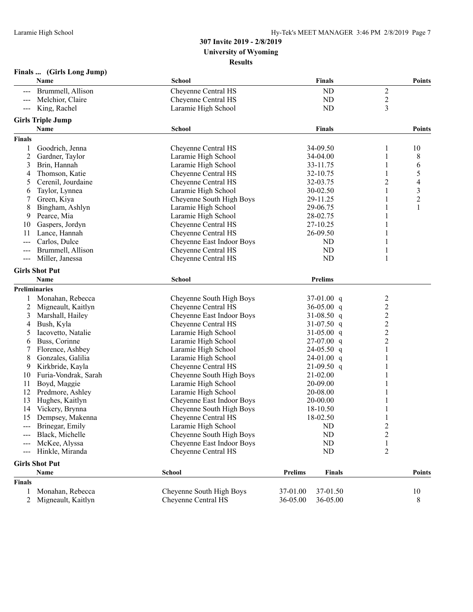| <b>Finals</b> | (Girls Long Jump) |
|---------------|-------------------|
|---------------|-------------------|

|               | Name                     | <b>School</b>             | <b>Finals</b>            |                         | <b>Points</b>  |
|---------------|--------------------------|---------------------------|--------------------------|-------------------------|----------------|
|               | Brummell, Allison        | Cheyenne Central HS       | <b>ND</b>                | $\overline{c}$          |                |
|               | Melchior, Claire         | Cheyenne Central HS       | <b>ND</b>                | $\overline{c}$          |                |
| $---$         | King, Rachel             | Laramie High School       | ND                       | 3                       |                |
|               | <b>Girls Triple Jump</b> |                           |                          |                         |                |
|               | Name                     | <b>School</b>             | Finals                   |                         | <b>Points</b>  |
| <b>Finals</b> |                          |                           |                          |                         |                |
| 1             | Goodrich, Jenna          | Cheyenne Central HS       | 34-09.50                 | 1                       | 10             |
| 2             | Gardner, Taylor          | Laramie High School       | 34-04.00                 |                         | 8              |
| 3             | Brin, Hannah             | Laramie High School       | 33-11.75                 | 1                       | 6              |
| 4             | Thomson, Katie           | Cheyenne Central HS       | 32-10.75                 |                         | 5              |
| 5             | Cerenil, Jourdaine       | Cheyenne Central HS       | 32-03.75                 | 2                       | 4              |
| 6             | Taylor, Lynnea           | Laramie High School       | 30-02.50                 | 1                       | 3              |
| 7             | Green, Kiya              | Cheyenne South High Boys  | 29-11.25                 |                         | $\overline{c}$ |
| 8             | Bingham, Ashlyn          | Laramie High School       | 29-06.75                 |                         | $\mathbf{1}$   |
| 9             | Pearce, Mia              | Laramie High School       | 28-02.75                 |                         |                |
| 10            | Gaspers, Jordyn          | Cheyenne Central HS       | 27-10.25                 |                         |                |
| 11            | Lance, Hannah            | Cheyenne Central HS       | 26-09.50                 |                         |                |
| $--$          | Carlos, Dulce            | Cheyenne East Indoor Boys | ND                       |                         |                |
|               | Brummell, Allison        | Cheyenne Central HS       | ND                       |                         |                |
| $---$         | Miller, Janessa          | Cheyenne Central HS       | <b>ND</b>                | 1                       |                |
|               |                          |                           |                          |                         |                |
|               | <b>Girls Shot Put</b>    |                           |                          |                         |                |
|               | Name                     | School                    | <b>Prelims</b>           |                         |                |
|               | <b>Preliminaries</b>     |                           |                          |                         |                |
| 1             | Monahan, Rebecca         | Cheyenne South High Boys  | $37-01.00$ q             | 2                       |                |
| 2             | Migneault, Kaitlyn       | Cheyenne Central HS       | 36-05.00 $q$             | $\overline{\mathbf{c}}$ |                |
| 3             | Marshall, Hailey         | Cheyenne East Indoor Boys | 31-08.50 q               | $\overline{c}$          |                |
| 4             | Bush, Kyla               | Cheyenne Central HS       | 31-07.50 $q$             | $\overline{c}$          |                |
| 5             | Iacovetto, Natalie       | Laramie High School       | 31-05.00 $q$             | $\overline{c}$          |                |
| 6             | Buss, Corinne            | Laramie High School       | 27-07.00 q               | $\overline{c}$          |                |
| 7             | Florence, Ashbey         | Laramie High School       | $24-05.50$ q             |                         |                |
| 8             | Gonzales, Galilia        | Laramie High School       | $24-01.00$ q             |                         |                |
| 9             | Kirkbride, Kayla         | Cheyenne Central HS       | $21-09.50$ q             |                         |                |
| 10            | Furia-Vondrak, Sarah     | Cheyenne South High Boys  | 21-02.00                 |                         |                |
| 11            | Boyd, Maggie             | Laramie High School       | 20-09.00                 |                         |                |
| 12            | Predmore, Ashley         | Laramie High School       | 20-08.00                 |                         |                |
| 13            | Hughes, Kaitlyn          | Cheyenne East Indoor Boys | 20-00.00                 |                         |                |
| 14            | Vickery, Brynna          | Cheyenne South High Boys  | 18-10.50                 |                         |                |
| 15            | Dempsey, Makenna         | Cheyenne Central HS       | 18-02.50                 | 1                       |                |
|               | Brinegar, Emily          | Laramie High School       | <b>ND</b>                | $\overline{c}$          |                |
|               | Black, Michelle          | Cheyenne South High Boys  | ND                       | 2                       |                |
| $--$          | McKee, Alyssa            | Cheyenne East Indoor Boys | ${\rm ND}$               | 1                       |                |
| ---           | Hinkle, Miranda          | Cheyenne Central HS       | ND                       | $\overline{2}$          |                |
|               | <b>Girls Shot Put</b>    |                           |                          |                         |                |
|               | Name                     | School                    | Prelims<br><b>Finals</b> |                         | <b>Points</b>  |
| Finals        |                          |                           |                          |                         |                |
| 1             | Monahan, Rebecca         | Cheyenne South High Boys  | 37-01.50<br>37-01.00     |                         | 10             |
| 2             | Migneault, Kaitlyn       | Cheyenne Central HS       | 36-05.00<br>36-05.00     |                         | 8              |
|               |                          |                           |                          |                         |                |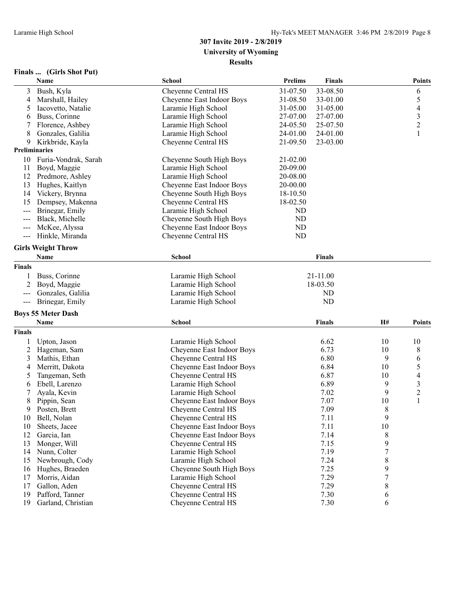#### **Finals ... (Girls Shot Put)**

|        | Name                      | School                    | <b>Prelims</b> | <b>Finals</b> |                  | <b>Points</b>            |
|--------|---------------------------|---------------------------|----------------|---------------|------------------|--------------------------|
| 3      | Bush, Kyla                | Cheyenne Central HS       | 31-07.50       | 33-08.50      |                  | 6                        |
| 4      | Marshall, Hailey          | Cheyenne East Indoor Boys | 31-08.50       | 33-01.00      |                  | 5                        |
| 5      | Iacovetto, Natalie        | Laramie High School       | 31-05.00       | 31-05.00      |                  | 4                        |
| 6      | Buss, Corinne             | Laramie High School       | 27-07.00       | 27-07.00      |                  | $\mathfrak{Z}$           |
| 7      | Florence, Ashbey          | Laramie High School       | 24-05.50       | 25-07.50      |                  | $\overline{c}$           |
| 8      | Gonzales, Galilia         | Laramie High School       | 24-01.00       | 24-01.00      |                  | $\mathbf{1}$             |
| 9      | Kirkbride, Kayla          | Cheyenne Central HS       | 21-09.50       | 23-03.00      |                  |                          |
|        | Preliminaries             |                           |                |               |                  |                          |
| 10     | Furia-Vondrak, Sarah      | Cheyenne South High Boys  | 21-02.00       |               |                  |                          |
| 11     | Boyd, Maggie              | Laramie High School       | 20-09.00       |               |                  |                          |
| 12     | Predmore, Ashley          | Laramie High School       | 20-08.00       |               |                  |                          |
| 13     | Hughes, Kaitlyn           | Cheyenne East Indoor Boys | 20-00.00       |               |                  |                          |
| 14     | Vickery, Brynna           |                           | 18-10.50       |               |                  |                          |
|        |                           | Cheyenne South High Boys  |                |               |                  |                          |
| 15     | Dempsey, Makenna          | Cheyenne Central HS       | 18-02.50       |               |                  |                          |
| $---$  | Brinegar, Emily           | Laramie High School       | ND             |               |                  |                          |
|        | Black, Michelle           | Cheyenne South High Boys  | ND             |               |                  |                          |
| $---$  | McKee, Alyssa             | Cheyenne East Indoor Boys | ND             |               |                  |                          |
| $--$   | Hinkle, Miranda           | Cheyenne Central HS       | ND             |               |                  |                          |
|        | <b>Girls Weight Throw</b> |                           |                |               |                  |                          |
|        | <b>Name</b>               | School                    |                | Finals        |                  |                          |
| Finals |                           |                           |                |               |                  |                          |
| 1      | Buss, Corinne             | Laramie High School       |                | 21-11.00      |                  |                          |
| 2      | Boyd, Maggie              | Laramie High School       |                | 18-03.50      |                  |                          |
|        | Gonzales, Galilia         | Laramie High School       |                | ND            |                  |                          |
|        | Brinegar, Emily           |                           |                | ND            |                  |                          |
| $---$  |                           | Laramie High School       |                |               |                  |                          |
|        | <b>Boys 55 Meter Dash</b> |                           |                |               |                  |                          |
|        | Name                      | <b>School</b>             |                | Finals        | H#               | <b>Points</b>            |
| Finals |                           |                           |                |               |                  |                          |
| 1      | Upton, Jason              | Laramie High School       |                | 6.62          | 10               | 10                       |
| 2      | Hageman, Sam              | Cheyenne East Indoor Boys |                | 6.73          | 10               | 8                        |
| 3      | Mathis, Ethan             | Cheyenne Central HS       |                | 6.80          | 9                | 6                        |
| 4      | Merritt, Dakota           | Cheyenne East Indoor Boys |                | 6.84          | 10               | 5                        |
| 5      | Tangeman, Seth            | Cheyenne Central HS       |                | 6.87          | 10               | $\overline{\mathcal{A}}$ |
| 6      | Ebell, Larenzo            | Laramie High School       |                | 6.89          | 9                | 3                        |
| 7      | Ayala, Kevin              | Laramie High School       |                | 7.02          | 9                | $\overline{c}$           |
| 8      | Pippin, Sean              | Cheyenne East Indoor Boys |                | 7.07          | 10               | $\mathbf{1}$             |
| 9      | Posten, Brett             | Cheyenne Central HS       |                | 7.09          | 8                |                          |
| 10     | Bell, Nolan               | Cheyenne Central HS       |                | 7.11          | 9                |                          |
| 10     | Sheets, Jacee             | Cheyenne East Indoor Boys |                | 7.11          | 10               |                          |
| 12     | Garcia, Ian               | Cheyenne East Indoor Boys |                | 7.14          | 8                |                          |
| 13     | Monger, Will              | Cheyenne Central HS       |                | 7.15          | 9                |                          |
| 14     | Nunn, Colter              | Laramie High School       |                | 7.19          | $\boldsymbol{7}$ |                          |
| 15     | Newbrough, Cody           | Laramie High School       |                | 7.24          | 8                |                          |
| 16     | Hughes, Braeden           | Cheyenne South High Boys  |                | 7.25          | 9                |                          |
| 17     | Morris, Aidan             | Laramie High School       |                | 7.29          | 7                |                          |
| 17     | Gallon, Aden              | Cheyenne Central HS       |                | 7.29          | $\,8\,$          |                          |
| 19     | Pafford, Tanner           | Cheyenne Central HS       |                | 7.30          |                  |                          |
| 19     | Garland, Christian        |                           |                | 7.30          | 6<br>6           |                          |
|        |                           | Cheyenne Central HS       |                |               |                  |                          |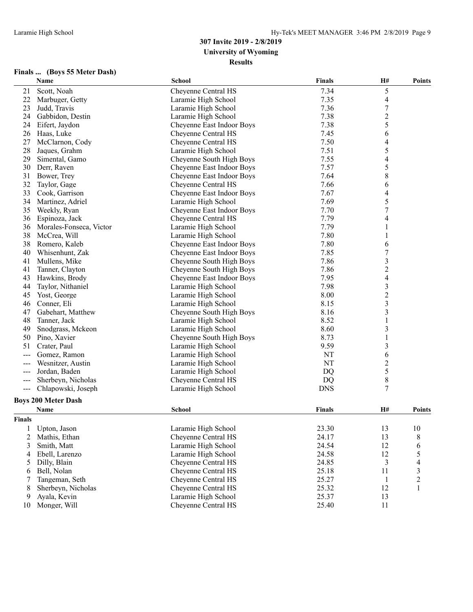| Finals | (Boys 55 Meter Dash) |
|--------|----------------------|
|--------|----------------------|

|        | Name                       | <b>School</b>             | <b>Finals</b> | H#                       | <b>Points</b> |
|--------|----------------------------|---------------------------|---------------|--------------------------|---------------|
| 21     | Scott, Noah                | Cheyenne Central HS       | 7.34          | 5                        |               |
| 22     | Marbuger, Getty            | Laramie High School       | 7.35          | $\overline{\mathcal{A}}$ |               |
| 23     | Judd, Travis               | Laramie High School       | 7.36          | 7                        |               |
| 24     | Gabbidon, Destin           | Laramie High School       | 7.38          | $\overline{c}$           |               |
| 24     | Eifert, Jaydon             | Cheyenne East Indoor Boys | 7.38          | 5                        |               |
| 26     | Haas, Luke                 | Cheyenne Central HS       | 7.45          | 6                        |               |
| 27     | McClarnon, Cody            | Cheyenne Central HS       | 7.50          | 4                        |               |
| 28     | Jaques, Grahm              | Laramie High School       | 7.51          | 5                        |               |
| 29     | Simental, Gamo             | Cheyenne South High Boys  | 7.55          | 4                        |               |
| 30     | Derr, Raven                | Cheyenne East Indoor Boys | 7.57          | 5                        |               |
| 31     | Bower, Trey                | Cheyenne East Indoor Boys | 7.64          | $\,$ $\,$                |               |
| 32     | Taylor, Gage               | Cheyenne Central HS       | 7.66          | 6                        |               |
| 33     | Cook, Garrison             | Cheyenne East Indoor Boys | 7.67          | 4                        |               |
| 34     | Martinez, Adriel           | Laramie High School       | 7.69          | 5                        |               |
| 35     | Weekly, Ryan               | Cheyenne East Indoor Boys | 7.70          | $\boldsymbol{7}$         |               |
| 36     | Espinoza, Jack             | Cheyenne Central HS       | 7.79          | 4                        |               |
| 36     | Morales-Fonseca, Victor    | Laramie High School       | 7.79          | 1                        |               |
| 38     | McCrea, Will               | Laramie High School       | 7.80          | $\mathbf{1}$             |               |
| 38     | Romero, Kaleb              | Cheyenne East Indoor Boys | 7.80          | 6                        |               |
| 40     | Whisenhunt, Zak            | Cheyenne East Indoor Boys | 7.85          | $\boldsymbol{7}$         |               |
| 41     | Mullens, Mike              | Cheyenne South High Boys  | 7.86          | 3                        |               |
| 41     | Tanner, Clayton            | Cheyenne South High Boys  | 7.86          | $\overline{c}$           |               |
| 43     | Hawkins, Brody             | Cheyenne East Indoor Boys | 7.95          | $\overline{\mathbf{4}}$  |               |
| 44     | Taylor, Nithaniel          | Laramie High School       | 7.98          | $\mathfrak{Z}$           |               |
| 45     | Yost, George               | Laramie High School       | 8.00          | $\overline{c}$           |               |
| 46     | Conner, Eli                | Laramie High School       | 8.15          | 3                        |               |
| 47     | Gabehart, Matthew          | Cheyenne South High Boys  | 8.16          | 3                        |               |
| 48     | Tanner, Jack               | Laramie High School       | 8.52          | 1                        |               |
| 49     | Snodgrass, Mckeon          | Laramie High School       | 8.60          | 3                        |               |
| 50     | Pino, Xavier               | Cheyenne South High Boys  | 8.73          | $\mathbf{1}$             |               |
| 51     | Crater, Paul               | Laramie High School       | 9.59          | $\mathfrak{Z}$           |               |
| ---    | Gomez, Ramon               | Laramie High School       | NT            | 6                        |               |
| $--$   | Wesnitzer, Austin          | Laramie High School       | <b>NT</b>     | $\overline{c}$           |               |
| $--$   | Jordan, Baden              | Laramie High School       | DQ            | 5                        |               |
|        | Sherbeyn, Nicholas         | Cheyenne Central HS       | DQ            | $\,$ $\,$                |               |
| $---$  | Chlapowski, Joseph         | Laramie High School       | <b>DNS</b>    | $\overline{7}$           |               |
|        |                            |                           |               |                          |               |
|        | <b>Boys 200 Meter Dash</b> |                           |               |                          |               |
|        | Name                       | <b>School</b>             | <b>Finals</b> | Н#                       | <b>Points</b> |
| Finals |                            |                           |               |                          |               |
| 1      | Upton, Jason               | Laramie High School       | 23.30         | 13                       | $10\,$        |
| 2      | Mathis, Ethan              | Cheyenne Central HS       | 24.17         | 13                       | 8             |
| 3      | Smith, Matt                | Laramie High School       | 24.54         | 12                       | 6             |
| 4      | Ebell, Larenzo             | Laramie High School       | 24.58         | 12                       | 5             |
| 5      | Dilly, Blain               | Cheyenne Central HS       | 24.85         | 3                        |               |
| 6      | Bell, Nolan                | Cheyenne Central HS       | 25.18         | 11                       | 3             |
| 7      | Tangeman, Seth             | Cheyenne Central HS       | 25.27         | $\mathbf{1}$             | 2             |
| 8      | Sherbeyn, Nicholas         | Cheyenne Central HS       | 25.32         | 12                       | 1             |
| 9      | Ayala, Kevin               | Laramie High School       | 25.37         | 13                       |               |
| 10     | Monger, Will               | Cheyenne Central HS       | 25.40         | 11                       |               |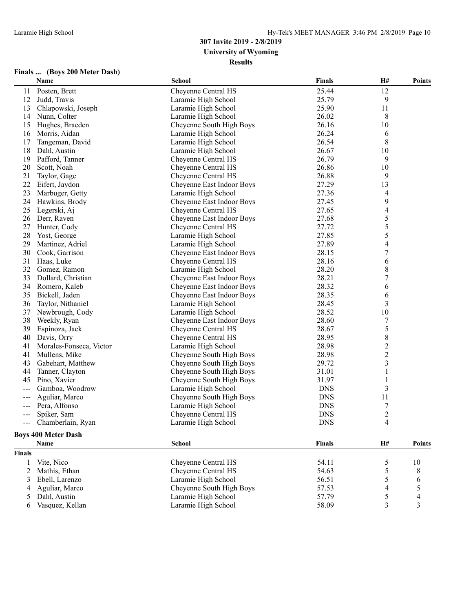#### **Finals ... (Boys 200 Meter Dash)**

|                     | Name                       | <b>School</b>             | <b>Finals</b> | H#                       | <b>Points</b> |
|---------------------|----------------------------|---------------------------|---------------|--------------------------|---------------|
| 11                  | Posten, Brett              | Cheyenne Central HS       | 25.44         | 12                       |               |
| 12                  | Judd, Travis               | Laramie High School       | 25.79         | 9                        |               |
| 13                  | Chlapowski, Joseph         | Laramie High School       | 25.90         | 11                       |               |
| 14                  | Nunn, Colter               | Laramie High School       | 26.02         | 8                        |               |
| 15                  | Hughes, Braeden            | Cheyenne South High Boys  | 26.16         | 10                       |               |
| 16                  | Morris, Aidan              | Laramie High School       | 26.24         | 6                        |               |
| 17                  | Tangeman, David            | Laramie High School       | 26.54         | 8                        |               |
| 18                  | Dahl, Austin               | Laramie High School       | 26.67         | 10                       |               |
| 19                  | Pafford, Tanner            | Cheyenne Central HS       | 26.79         | 9                        |               |
| 20                  | Scott, Noah                | Cheyenne Central HS       | 26.86         | 10                       |               |
| 21                  | Taylor, Gage               | Cheyenne Central HS       | 26.88         | 9                        |               |
| 22                  | Eifert, Jaydon             | Cheyenne East Indoor Boys | 27.29         | 13                       |               |
| 23                  | Marbuger, Getty            | Laramie High School       | 27.36         | $\overline{\mathcal{A}}$ |               |
| 24                  | Hawkins, Brody             | Cheyenne East Indoor Boys | 27.45         | 9                        |               |
| 25                  | Legerski, Aj               | Cheyenne Central HS       | 27.65         | 4                        |               |
| 26                  | Derr, Raven                | Cheyenne East Indoor Boys | 27.68         | 5                        |               |
| 27                  | Hunter, Cody               | Cheyenne Central HS       | 27.72         | 5                        |               |
| 28                  | Yost, George               | Laramie High School       | 27.85         | 5                        |               |
| 29                  | Martinez, Adriel           | Laramie High School       | 27.89         | 4                        |               |
| 30                  | Cook, Garrison             | Cheyenne East Indoor Boys | 28.15         | $\boldsymbol{7}$         |               |
| 31                  | Haas, Luke                 | Cheyenne Central HS       | 28.16         | 6                        |               |
| 32                  | Gomez, Ramon               | Laramie High School       | 28.20         | 8                        |               |
| 33                  | Dollard, Christian         | Cheyenne East Indoor Boys | 28.21         | 7                        |               |
| 34                  | Romero, Kaleb              | Cheyenne East Indoor Boys | 28.32         | 6                        |               |
| 35                  | Bickell, Jaden             | Cheyenne East Indoor Boys | 28.35         | 6                        |               |
| 36                  | Taylor, Nithaniel          | Laramie High School       | 28.45         | 3                        |               |
| 37                  | Newbrough, Cody            | Laramie High School       | 28.52         | 10                       |               |
| 38                  | Weekly, Ryan               | Cheyenne East Indoor Boys | 28.60         | 7                        |               |
| 39                  | Espinoza, Jack             | Cheyenne Central HS       | 28.67         | 5                        |               |
| 40                  | Davis, Orry                | Cheyenne Central HS       | 28.95         | $\,8\,$                  |               |
| 41                  | Morales-Fonseca, Victor    | Laramie High School       | 28.98         | $\overline{c}$           |               |
| 41                  | Mullens, Mike              | Cheyenne South High Boys  | 28.98         | $\overline{c}$           |               |
| 43                  | Gabehart, Matthew          | Cheyenne South High Boys  | 29.72         | 3                        |               |
| 44                  | Tanner, Clayton            | Cheyenne South High Boys  | 31.01         | 1                        |               |
| 45                  | Pino, Xavier               | Cheyenne South High Boys  | 31.97         | 1                        |               |
| $---$               | Gamboa, Woodrow            | Laramie High School       | <b>DNS</b>    | $\overline{\mathbf{3}}$  |               |
| ---                 | Aguliar, Marco             | Cheyenne South High Boys  | <b>DNS</b>    | 11                       |               |
| $\qquad \qquad - -$ | Pera, Alfonso              | Laramie High School       | <b>DNS</b>    | 7                        |               |
| $\qquad \qquad -$   | Spiker, Sam                | Cheyenne Central HS       | <b>DNS</b>    | $\overline{c}$           |               |
|                     | Chamberlain, Ryan          | Laramie High School       | <b>DNS</b>    | 4                        |               |
|                     | <b>Boys 400 Meter Dash</b> |                           |               |                          |               |
|                     | <b>Name</b>                | <b>School</b>             | <b>Finals</b> | H#                       | <b>Points</b> |
| <b>Finals</b>       |                            |                           |               |                          |               |
| 1                   | Vite, Nico                 | Cheyenne Central HS       | 54.11         | 5                        | 10            |
| 2                   | Mathis, Ethan              | Cheyenne Central HS       | 54.63         | 5                        | 8             |
| 3                   | Ebell, Larenzo             | Laramie High School       | 56.51         | 5                        | 6             |
| 4                   | Aguliar, Marco             | Cheyenne South High Boys  | 57.53         | 4                        | 5             |
| 5                   | Dahl, Austin               | Laramie High School       | 57.79         | 5                        | 4             |
|                     | Vasquez, Kellan            | Laramie High School       | 58.09         | 3                        | 3             |
| 6                   |                            |                           |               |                          |               |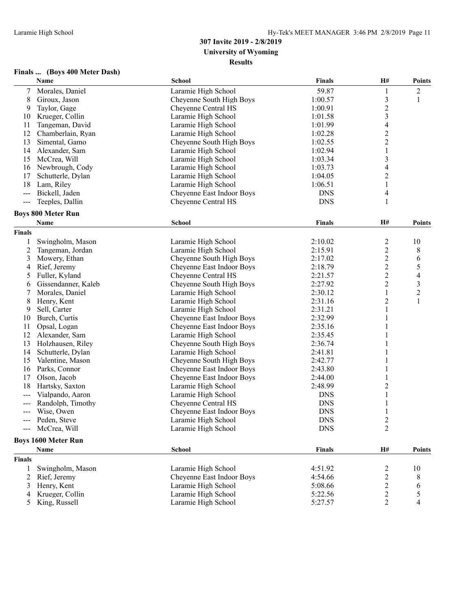| Finals  (Boys 400 Meter Dash) |  |
|-------------------------------|--|
|-------------------------------|--|

|                | Name                       | <b>School</b>             | <b>Finals</b> | H#                      | <b>Points</b>            |
|----------------|----------------------------|---------------------------|---------------|-------------------------|--------------------------|
| 7              | Morales, Daniel            | Laramie High School       | 59.87         | 1                       | $\overline{c}$           |
| 8              | Giroux, Jason              | Cheyenne South High Boys  | 1:00.57       | $\mathfrak{Z}$          | 1                        |
| 9              | Taylor, Gage               | Cheyenne Central HS       | 1:00.91       | $\sqrt{2}$              |                          |
| 10             | Krueger, Collin            | Laramie High School       | 1:01.58       | 3                       |                          |
| 11             | Tangeman, David            | Laramie High School       | 1:01.99       | $\overline{\mathbf{4}}$ |                          |
| 12             | Chamberlain, Ryan          | Laramie High School       | 1:02.28       | $\overline{c}$          |                          |
| 13             | Simental, Gamo             | Cheyenne South High Boys  | 1:02.55       | $\overline{c}$          |                          |
| 14             | Alexander, Sam             | Laramie High School       | 1:02.94       | 1                       |                          |
| 15             | McCrea, Will               | Laramie High School       | 1:03.34       | 3                       |                          |
| 16             | Newbrough, Cody            | Laramie High School       | 1:03.73       | $\overline{4}$          |                          |
| 17             | Schutterle, Dylan          | Laramie High School       | 1:04.05       | $\overline{c}$          |                          |
| 18             | Lam, Riley                 | Laramie High School       | 1:06.51       | $\mathbf{1}$            |                          |
| ---            | Bickell, Jaden             | Cheyenne East Indoor Boys | <b>DNS</b>    | 4                       |                          |
| $\frac{1}{2}$  | Teeples, Dallin            | Cheyenne Central HS       | <b>DNS</b>    | 1                       |                          |
|                | <b>Boys 800 Meter Run</b>  |                           |               |                         |                          |
|                | Name                       | <b>School</b>             | <b>Finals</b> | H#                      | <b>Points</b>            |
| <b>Finals</b>  |                            |                           |               |                         |                          |
|                | Swingholm, Mason           | Laramie High School       | 2:10.02       | $\overline{c}$          | 10                       |
| $\overline{c}$ | Tangeman, Jordan           | Laramie High School       | 2:15.91       | $\overline{c}$          | $8\,$                    |
| 3              | Mowery, Ethan              | Cheyenne South High Boys  | 2:17.02       | $\sqrt{2}$              | 6                        |
| 4              | Rief, Jeremy               | Cheyenne East Indoor Boys | 2:18.79       | $\overline{c}$          | 5                        |
| 5              | Fuller, Kyland             | Cheyenne Central HS       | 2:21.57       | $\sqrt{2}$              | $\overline{\mathcal{A}}$ |
| 6              | Gissendanner, Kaleb        | Cheyenne South High Boys  | 2:27.92       | $\overline{2}$          | $\mathfrak{Z}$           |
| 7              | Morales, Daniel            | Laramie High School       | 2:30.12       | 1                       | $\mathbf{2}$             |
| 8              | Henry, Kent                | Laramie High School       | 2:31.16       | $\boldsymbol{2}$        | $\mathbf{1}$             |
| 9              | Sell, Carter               | Laramie High School       | 2:31.21       | $\mathbf{1}$            |                          |
| 10             | Burch, Curtis              | Cheyenne East Indoor Boys | 2:32.99       | 1                       |                          |
| 11             | Opsal, Logan               | Cheyenne East Indoor Boys | 2:35.16       | 1                       |                          |
| 12             | Alexander, Sam             | Laramie High School       | 2:35.45       | 1                       |                          |
| 13             | Holzhausen, Riley          | Cheyenne South High Boys  | 2:36.74       | 1                       |                          |
| 14             | Schutterle, Dylan          | Laramie High School       | 2:41.81       | 1                       |                          |
| 15             | Valentine, Mason           | Cheyenne South High Boys  | 2:42.77       | 1                       |                          |
| 16             | Parks, Connor              | Cheyenne East Indoor Boys | 2:43.80       | 1                       |                          |
| 17             | Olson, Jacob               | Cheyenne East Indoor Boys | 2:44.00       |                         |                          |
| 18             | Hartsky, Saxton            | Laramie High School       | 2:48.99       | 2                       |                          |
| ---            | Vialpando, Aaron           | Laramie High School       | <b>DNS</b>    | $\mathbf{1}$            |                          |
| ---            | Randolph, Timothy          | Cheyenne Central HS       | <b>DNS</b>    | 1                       |                          |
| $--$           | Wise, Owen                 | Cheyenne East Indoor Boys | <b>DNS</b>    |                         |                          |
| ---            | Peden, Steve               | Laramie High School       | <b>DNS</b>    | $\boldsymbol{2}$        |                          |
|                | McCrea, Will               | Laramie High School       | <b>DNS</b>    | $\boldsymbol{2}$        |                          |
|                | <b>Boys 1600 Meter Run</b> |                           |               |                         |                          |
|                | Name                       | <b>School</b>             | <b>Finals</b> | H#                      | <b>Points</b>            |
| <b>Finals</b>  |                            |                           |               |                         |                          |
|                | Swingholm, Mason           | Laramie High School       | 4:51.92       | 2                       | 10                       |
| 2              | Rief, Jeremy               | Cheyenne East Indoor Boys | 4:54.66       | $\overline{c}$          | 8                        |
| 3              | Henry, Kent                | Laramie High School       | 5:08.66       | $\overline{c}$          | 6                        |
| 4              | Krueger, Collin            | Laramie High School       | 5:22.56       | $\overline{c}$          | 5                        |
| 5              | King, Russell              | Laramie High School       | 5:27.57       | $\overline{2}$          | $\overline{4}$           |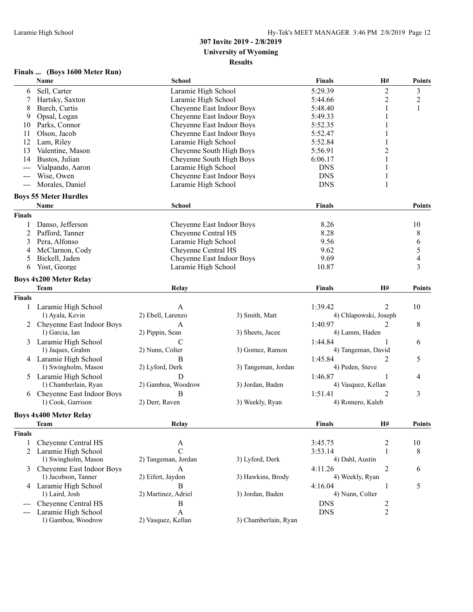|  | Finals  (Boys 1600 Meter Run) |
|--|-------------------------------|
|--|-------------------------------|

|               | 1 mais  (Doys 1000 meter Kun) |                            |                      |                 |                       |                          |
|---------------|-------------------------------|----------------------------|----------------------|-----------------|-----------------------|--------------------------|
|               | Name                          | <b>School</b>              |                      | <b>Finals</b>   | H#                    | <b>Points</b>            |
| 6             | Sell, Carter                  | Laramie High School        |                      | 5:29.39         | $\overline{c}$        | $\mathfrak{Z}$           |
| 7             | Hartsky, Saxton               | Laramie High School        |                      | 5:44.66         | $\overline{2}$        | $\mathbf{2}$             |
| 8             | Burch, Curtis                 | Cheyenne East Indoor Boys  |                      | 5:48.40         | 1                     | 1                        |
| 9             | Opsal, Logan                  | Cheyenne East Indoor Boys  |                      | 5:49.33         | 1                     |                          |
| 10            | Parks, Connor                 | Cheyenne East Indoor Boys  |                      | 5:52.35         | 1                     |                          |
| 11            | Olson, Jacob                  | Cheyenne East Indoor Boys  |                      | 5:52.47         | 1                     |                          |
| 12            | Lam, Riley                    | Laramie High School        |                      | 5:52.84         | 1                     |                          |
| 13            | Valentine, Mason              | Cheyenne South High Boys   |                      | 5:56.91         | $\overline{c}$        |                          |
| 14            | Bustos, Julian                | Cheyenne South High Boys   |                      | 6:06.17         | 1                     |                          |
| ---           | Vialpando, Aaron              | Laramie High School        |                      | <b>DNS</b>      | 1                     |                          |
| ---           | Wise, Owen                    | Cheyenne East Indoor Boys  |                      | <b>DNS</b>      | 1                     |                          |
| $--$          | Morales, Daniel               | Laramie High School        |                      | <b>DNS</b>      | $\mathbf{1}$          |                          |
|               | <b>Boys 55 Meter Hurdles</b>  |                            |                      |                 |                       |                          |
|               | Name                          | <b>School</b>              |                      | <b>Finals</b>   |                       | <b>Points</b>            |
| <b>Finals</b> |                               |                            |                      |                 |                       |                          |
|               | Danso, Jefferson              | Cheyenne East Indoor Boys  |                      | 8.26            |                       | 10                       |
| 1             |                               | <b>Cheyenne Central HS</b> |                      | 8.28            |                       |                          |
| 2             | Pafford, Tanner               |                            |                      |                 |                       | 8                        |
| 3             | Pera, Alfonso                 | Laramie High School        |                      | 9.56            |                       | 6                        |
| 4             | McClarnon, Cody               | <b>Cheyenne Central HS</b> |                      | 9.62            |                       | $\sqrt{5}$               |
| 5             | Bickell, Jaden                | Cheyenne East Indoor Boys  |                      | 9.69            |                       | $\overline{\mathcal{A}}$ |
| 6             | Yost, George                  | Laramie High School        |                      | 10.87           |                       | 3                        |
|               | <b>Boys 4x200 Meter Relay</b> |                            |                      |                 |                       |                          |
|               | <b>Team</b>                   | <b>Relay</b>               |                      | <b>Finals</b>   | H#                    | <b>Points</b>            |
| <b>Finals</b> |                               |                            |                      |                 |                       |                          |
| 1             | Laramie High School           | A                          |                      | 1:39.42         | 2                     | 10                       |
|               | 1) Ayala, Kevin               | 2) Ebell, Larenzo          | 3) Smith, Matt       |                 | 4) Chlapowski, Joseph |                          |
| 2             | Cheyenne East Indoor Boys     | A                          |                      | 1:40.97         | 2                     | 8                        |
|               | 1) Garcia, Ian                | 2) Pippin, Sean            | 3) Sheets, Jacee     |                 | 4) Lamm, Haden        |                          |
| 3             | Laramie High School           | $\mathcal{C}$              |                      | 1:44.84         | 1                     | 6                        |
|               | 1) Jaques, Grahm              | 2) Nunn, Colter            | 3) Gomez, Ramon      |                 | 4) Tangeman, David    |                          |
|               | 4 Laramie High School         | B                          |                      | 1:45.84         | 2                     | 5                        |
|               | 1) Swingholm, Mason           | 2) Lyford, Derk            | 3) Tangeman, Jordan  | 4) Peden, Steve |                       |                          |
|               | Laramie High School           | D                          |                      | 1:46.87         | 1                     |                          |
| 5             | 1) Chamberlain, Ryan          | 2) Gamboa, Woodrow         |                      |                 |                       | 4                        |
|               |                               |                            | 3) Jordan, Baden     |                 | 4) Vasquez, Kellan    |                          |
| 6             | Cheyenne East Indoor Boys     | B                          |                      | 1:51.41         | 2                     | 3                        |
|               | 1) Cook, Garrison             | 2) Derr, Raven             | 3) Weekly, Ryan      |                 | 4) Romero, Kaleb      |                          |
|               | <b>Boys 4x400 Meter Relay</b> |                            |                      |                 |                       |                          |
|               | <b>Team</b>                   | <b>Relay</b>               |                      | <b>Finals</b>   | H#                    | <b>Points</b>            |
| <b>Finals</b> |                               |                            |                      |                 |                       |                          |
| 1             | Cheyenne Central HS           | A                          |                      | 3:45.75         | $\overline{c}$        | 10                       |
| 2             | Laramie High School           | $\mathcal{C}$              |                      | 3:53.14         | 1                     | 8                        |
|               | 1) Swingholm, Mason           | 2) Tangeman, Jordan        | 3) Lyford, Derk      | 4) Dahl, Austin |                       |                          |
| 3             | Cheyenne East Indoor Boys     | A                          |                      | 4:11.26         | $\overline{2}$        | 6                        |
|               | 1) Jacobson, Tanner           | 2) Eifert, Jaydon          | 3) Hawkins, Brody    |                 | 4) Weekly, Ryan       |                          |
|               | 4 Laramie High School         | B                          |                      | 4:16.04         | 1                     | 5                        |
|               | 1) Laird, Josh                | 2) Martinez, Adriel        | 3) Jordan, Baden     | 4) Nunn, Colter |                       |                          |
| $---$         | Cheyenne Central HS           | $\boldsymbol{B}$           |                      | <b>DNS</b>      | 2                     |                          |
|               | Laramie High School           | $\mathbf{A}$               |                      | <b>DNS</b>      | $\overline{c}$        |                          |
| ---           | 1) Gamboa, Woodrow            | 2) Vasquez, Kellan         | 3) Chamberlain, Ryan |                 |                       |                          |
|               |                               |                            |                      |                 |                       |                          |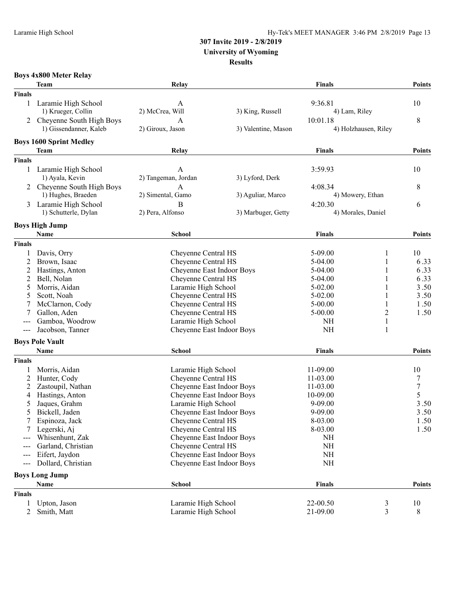# **307 Invite 2019 - 2/8/2019**

**University of Wyoming**

#### **Results**

|               | <b>Boys 4x800 Meter Relay</b>  |                            |                     |                               |                      |                  |
|---------------|--------------------------------|----------------------------|---------------------|-------------------------------|----------------------|------------------|
|               | <b>Team</b>                    | Relay                      |                     | <b>Finals</b>                 |                      | <b>Points</b>    |
| <b>Finals</b> |                                |                            |                     |                               |                      |                  |
| 1             | Laramie High School            | A                          |                     | 9:36.81                       |                      | 10               |
|               | 1) Krueger, Collin             | 2) McCrea, Will            | 3) King, Russell    | 4) Lam, Riley                 |                      |                  |
|               | Cheyenne South High Boys       | A                          |                     | 10:01.18                      |                      | 8                |
|               | 1) Gissendanner, Kaleb         | 2) Giroux, Jason           | 3) Valentine, Mason |                               | 4) Holzhausen, Riley |                  |
|               |                                |                            |                     |                               |                      |                  |
|               | <b>Boys 1600 Sprint Medley</b> |                            |                     | <b>Finals</b>                 |                      | <b>Points</b>    |
|               | Team                           | Relay                      |                     |                               |                      |                  |
| <b>Finals</b> |                                |                            |                     |                               |                      |                  |
| 1             | Laramie High School            | A                          |                     | 3:59.93                       |                      | 10               |
|               | 1) Ayala, Kevin                | 2) Tangeman, Jordan        | 3) Lyford, Derk     |                               |                      |                  |
|               | 2 Cheyenne South High Boys     | A                          |                     | 4:08.34                       |                      | 8                |
|               | 1) Hughes, Braeden             | 2) Simental, Gamo          | 3) Aguliar, Marco   |                               | 4) Mowery, Ethan     |                  |
| 3             | Laramie High School            | B                          |                     | 4:20.30<br>4) Morales, Daniel |                      | 6                |
|               | 1) Schutterle, Dylan           | 2) Pera, Alfonso           | 3) Marbuger, Getty  |                               |                      |                  |
|               | <b>Boys High Jump</b>          |                            |                     |                               |                      |                  |
|               | Name                           | <b>School</b>              |                     | <b>Finals</b>                 |                      | <b>Points</b>    |
| <b>Finals</b> |                                |                            |                     |                               |                      |                  |
| 1             | Davis, Orry                    | Cheyenne Central HS        |                     | $5 - 09.00$                   |                      | 10               |
| 2             | Brown, Isaac                   | Cheyenne Central HS        |                     | $5-04.00$                     | 1                    | 6.33             |
| 2             | Hastings, Anton                | Cheyenne East Indoor Boys  |                     | 5-04.00                       | 1                    | 6.33             |
| 2             | Bell, Nolan                    | Cheyenne Central HS        |                     | $5-04.00$                     | 1                    | 6.33             |
| 5             | Morris, Aidan                  | Laramie High School        |                     | $5 - 02.00$                   | 1                    | 3.50             |
| 5             | Scott, Noah                    | Cheyenne Central HS        |                     | $5 - 02.00$                   | 1                    | 3.50             |
|               | McClarnon, Cody                | Cheyenne Central HS        |                     | $5 - 00.00$                   |                      | 1.50             |
|               | Gallon, Aden                   | Cheyenne Central HS        |                     | $5 - 00.00$                   | 2                    | 1.50             |
| ---           | Gamboa, Woodrow                | Laramie High School        |                     | NH                            | 1                    |                  |
| ---           | Jacobson, Tanner               | Cheyenne East Indoor Boys  |                     | NH                            | 1                    |                  |
|               | <b>Boys Pole Vault</b>         |                            |                     |                               |                      |                  |
|               | Name                           | <b>School</b>              |                     | <b>Finals</b>                 |                      | <b>Points</b>    |
| <b>Finals</b> |                                |                            |                     |                               |                      |                  |
| 1             | Morris, Aidan                  | Laramie High School        |                     | 11-09.00                      |                      | 10               |
| 2             | Hunter, Cody                   | Cheyenne Central HS        |                     | 11-03.00                      |                      | 7                |
| 2             | Zastoupil, Nathan              | Cheyenne East Indoor Boys  |                     | 11-03.00                      |                      | $\boldsymbol{7}$ |
| 4             | Hastings, Anton                | Cheyenne East Indoor Boys  |                     | 10-09.00                      |                      | 5                |
| 5             | Jaques, Grahm                  | Laramie High School        |                     | $9 - 09.00$                   |                      | 3.50             |
| 5             | Bickell, Jaden                 | Cheyenne East Indoor Boys  |                     | 9-09.00                       |                      | 3.50             |
| 7             | Espinoza, Jack                 | Cheyenne Central HS        |                     | 8-03.00                       |                      | 1.50             |
|               | Legerski, Aj                   | Cheyenne Central HS        |                     | 8-03.00                       |                      | 1.50             |
|               | Whisenhunt, Zak                | Cheyenne East Indoor Boys  |                     | NH                            |                      |                  |
|               | Garland, Christian             | <b>Cheyenne Central HS</b> |                     | $\rm NH$                      |                      |                  |
|               | Eifert, Jaydon                 | Cheyenne East Indoor Boys  |                     | $\rm NH$                      |                      |                  |
| $--$          | Dollard, Christian             | Cheyenne East Indoor Boys  |                     | $\rm NH$                      |                      |                  |
|               | <b>Boys Long Jump</b>          |                            |                     |                               |                      |                  |
|               | Name                           | School                     |                     | <b>Finals</b>                 |                      | Points           |
| <b>Finals</b> |                                |                            |                     |                               |                      |                  |
| 1             | Upton, Jason                   | Laramie High School        |                     | 22-00.50                      | 3                    | 10               |
| 2             | Smith, Matt                    | Laramie High School        |                     | 21-09.00                      | 3                    | 8                |
|               |                                |                            |                     |                               |                      |                  |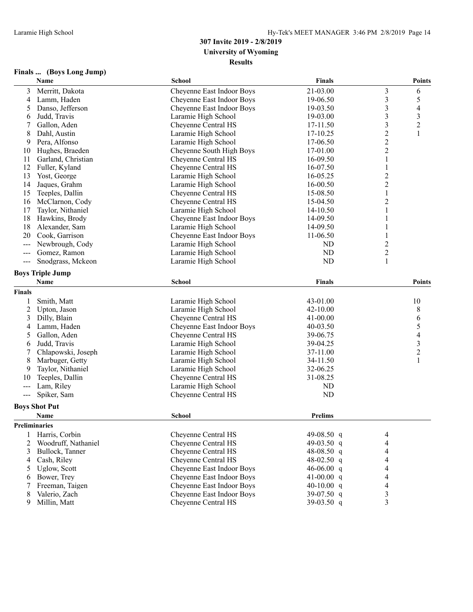#### **Finals ... (Boys Long Jump)**

|                | Name                    | <b>School</b>              | <b>Finals</b>  |                         | <b>Points</b>  |
|----------------|-------------------------|----------------------------|----------------|-------------------------|----------------|
| 3              | Merritt, Dakota         | Cheyenne East Indoor Boys  | 21-03.00       | $\mathfrak{Z}$          | 6              |
| 4              | Lamm, Haden             | Cheyenne East Indoor Boys  | 19-06.50       | $\mathfrak{Z}$          | 5              |
| 5              | Danso, Jefferson        | Cheyenne East Indoor Boys  | 19-03.50       | $\mathfrak{Z}$          | 4              |
| 6              | Judd, Travis            | Laramie High School        | 19-03.00       | $\mathfrak{Z}$          | 3              |
|                | Gallon, Aden            | Cheyenne Central HS        | 17-11.50       | $\overline{\mathbf{3}}$ | $\overline{c}$ |
| 8              | Dahl, Austin            | Laramie High School        | 17-10.25       | $\overline{c}$          | $\mathbf{1}$   |
| 9              | Pera, Alfonso           | Laramie High School        | 17-06.50       | $\overline{c}$          |                |
| 10             | Hughes, Braeden         | Cheyenne South High Boys   | 17-01.00       | $\boldsymbol{2}$        |                |
| 11             | Garland, Christian      | Cheyenne Central HS        | 16-09.50       | 1                       |                |
| 12             | Fuller, Kyland          | Cheyenne Central HS        | 16-07.50       | 1                       |                |
| 13             | Yost, George            | Laramie High School        | 16-05.25       | $\overline{c}$          |                |
| 14             | Jaques, Grahm           | Laramie High School        | 16-00.50       | $\overline{c}$          |                |
| 15             | Teeples, Dallin         | Cheyenne Central HS        | 15-08.50       | $\mathbf{1}$            |                |
| 16             | McClarnon, Cody         | Cheyenne Central HS        | 15-04.50       | $\overline{c}$          |                |
| 17             | Taylor, Nithaniel       | Laramie High School        | 14-10.50       | 1                       |                |
| 18             | Hawkins, Brody          | Cheyenne East Indoor Boys  | 14-09.50       |                         |                |
| 18             | Alexander, Sam          | Laramie High School        | 14-09.50       | 1                       |                |
| 20             | Cook, Garrison          | Cheyenne East Indoor Boys  | 11-06.50       | 1                       |                |
| ---            | Newbrough, Cody         | Laramie High School        | ND             | $\overline{2}$          |                |
| $---$          | Gomez, Ramon            | Laramie High School        | ND             | $\boldsymbol{2}$        |                |
| $---$          | Snodgrass, Mckeon       | Laramie High School        | ND             | $\mathbf{1}$            |                |
|                | <b>Boys Triple Jump</b> |                            |                |                         |                |
|                |                         |                            |                |                         |                |
|                | Name                    | <b>School</b>              | <b>Finals</b>  |                         | Points         |
| <b>Finals</b>  |                         |                            |                |                         |                |
| 1              | Smith, Matt             | Laramie High School        | 43-01.00       |                         | 10             |
| $\overline{c}$ | Upton, Jason            | Laramie High School        | 42-10.00       |                         | 8              |
| 3              | Dilly, Blain            | Cheyenne Central HS        | 41-00.00       |                         | 6              |
| 4              | Lamm, Haden             | Cheyenne East Indoor Boys  | 40-03.50       |                         | 5              |
| 5              | Gallon, Aden            | Cheyenne Central HS        | 39-06.75       |                         | 4              |
| 6              | Judd, Travis            | Laramie High School        | 39-04.25       |                         | 3              |
| 7              | Chlapowski, Joseph      | Laramie High School        | 37-11.00       |                         | $\overline{c}$ |
| 8              | Marbuger, Getty         | Laramie High School        | 34-11.50       |                         | 1              |
| 9              | Taylor, Nithaniel       | Laramie High School        | 32-06.25       |                         |                |
| 10             | Teeples, Dallin         | <b>Cheyenne Central HS</b> | 31-08.25       |                         |                |
| $--$           | Lam, Riley              | Laramie High School        | <b>ND</b>      |                         |                |
| $---$          | Spiker, Sam             | Cheyenne Central HS        | ND             |                         |                |
|                | <b>Boys Shot Put</b>    |                            |                |                         |                |
|                | Name                    | <b>School</b>              | <b>Prelims</b> |                         |                |
| Preliminaries  |                         |                            |                |                         |                |
| 1              | Harris, Corbin          | Cheyenne Central HS        | 49-08.50 q     | 4                       |                |
| 2              | Woodruff, Nathaniel     | <b>Cheyenne Central HS</b> | 49-03.50 q     | 4                       |                |
| 3              | Bullock, Tanner         | Cheyenne Central HS        | 48-08.50 q     | 4                       |                |
| 4              | Cash, Riley             | Cheyenne Central HS        | 48-02.50 q     | 4                       |                |
| 5              | Uglow, Scott            | Cheyenne East Indoor Boys  | 46-06.00 $q$   | 4                       |                |
| 6              | Bower, Trey             | Cheyenne East Indoor Boys  | 41-00.00 q     | 4                       |                |
| 7              | Freeman, Taigen         | Cheyenne East Indoor Boys  | 40-10.00 $q$   | 4                       |                |
| 8              | Valerio, Zach           | Cheyenne East Indoor Boys  | $39-07.50$ q   | 3                       |                |
| 9              | Millin, Matt            | Cheyenne Central HS        | 39-03.50 q     | 3                       |                |
|                |                         |                            |                |                         |                |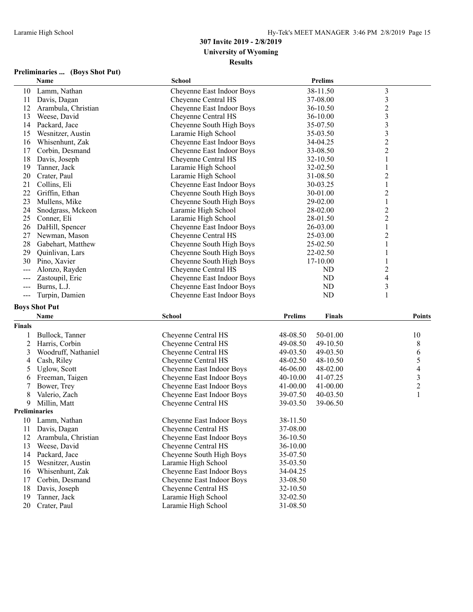### **Preliminaries ... (Boys Shot Put)**

|       | Name                | <b>School</b>             | <b>Prelims</b> |                |
|-------|---------------------|---------------------------|----------------|----------------|
| 10    | Lamm, Nathan        | Cheyenne East Indoor Boys | 38-11.50       | 3              |
| 11    | Davis, Dagan        | Cheyenne Central HS       | 37-08.00       | $\mathfrak{Z}$ |
| 12    | Arambula, Christian | Cheyenne East Indoor Boys | 36-10.50       | $\overline{c}$ |
| 13    | Weese, David        | Cheyenne Central HS       | 36-10.00       | 3              |
| 14    | Packard, Jace       | Cheyenne South High Boys  | 35-07.50       | 3              |
| 15    | Wesnitzer, Austin   | Laramie High School       | 35-03.50       | 3              |
| 16    | Whisenhunt, Zak     | Cheyenne East Indoor Boys | 34-04.25       | $\overline{c}$ |
| 17    | Corbin, Desmand     | Cheyenne East Indoor Boys | 33-08.50       | $\overline{c}$ |
| 18    | Davis, Joseph       | Cheyenne Central HS       | 32-10.50       |                |
| 19    | Tanner, Jack        | Laramie High School       | 32-02.50       |                |
| 20    | Crater, Paul        | Laramie High School       | 31-08.50       | 2              |
| 21    | Collins, Eli        | Cheyenne East Indoor Boys | 30-03.25       |                |
| 22    | Griffin, Ethan      | Cheyenne South High Boys  | 30-01.00       | $\overline{c}$ |
| 23    | Mullens, Mike       | Cheyenne South High Boys  | 29-02.00       |                |
| 24    | Snodgrass, Mckeon   | Laramie High School       | 28-02.00       | $\overline{c}$ |
| 25    | Conner, Eli         | Laramie High School       | 28-01.50       | $\overline{c}$ |
| 26    | DaHill, Spencer     | Cheyenne East Indoor Boys | 26-03.00       |                |
| 27    | Newman, Mason       | Cheyenne Central HS       | 25-03.00       | 2              |
| 28    | Gabehart, Matthew   | Cheyenne South High Boys  | 25-02.50       |                |
| 29    | Quinlivan, Lars     | Cheyenne South High Boys  | 22-02.50       |                |
| 30    | Pino, Xavier        | Cheyenne South High Boys  | 17-10.00       |                |
| $---$ | Alonzo, Rayden      | Cheyenne Central HS       | ND             | 2              |
| $---$ | Zastoupil, Eric     | Cheyenne East Indoor Boys | ND             | 4              |
| $---$ | Burns, L.J.         | Cheyenne East Indoor Boys | ND             | 3              |
| ---   | Turpin, Damien      | Cheyenne East Indoor Boys | ND             |                |

### **Boys Shot Put**

|               | Name                 | <b>School</b>             | <b>Prelims</b> | <b>Finals</b> | <b>Points</b>  |
|---------------|----------------------|---------------------------|----------------|---------------|----------------|
| <b>Finals</b> |                      |                           |                |               |                |
|               | Bullock, Tanner      | Cheyenne Central HS       | 48-08.50       | 50-01.00      | 10             |
|               | Harris, Corbin       | Cheyenne Central HS       | 49-08.50       | 49-10.50      | 8              |
| 3             | Woodruff, Nathaniel  | Cheyenne Central HS       | 49-03.50       | 49-03.50      | 6              |
| 4             | Cash, Riley          | Cheyenne Central HS       | 48-02.50       | 48-10.50      | 5              |
| 5             | Uglow, Scott         | Cheyenne East Indoor Boys | 46-06.00       | 48-02.00      | 4              |
| 6             | Freeman, Taigen      | Cheyenne East Indoor Boys | $40-10.00$     | 41-07.25      | 3              |
|               | Bower, Trey          | Cheyenne East Indoor Boys | 41-00.00       | $41 - 00.00$  | $\overline{c}$ |
| 8             | Valerio, Zach        | Cheyenne East Indoor Boys | 39-07.50       | 40-03.50      |                |
| 9             | Millin, Matt         | Cheyenne Central HS       | 39-03.50       | 39-06.50      |                |
|               | <b>Preliminaries</b> |                           |                |               |                |
| 10            | Lamm, Nathan         | Cheyenne East Indoor Boys | 38-11.50       |               |                |
| 11            | Davis, Dagan         | Cheyenne Central HS       | 37-08.00       |               |                |
| 12            | Arambula, Christian  | Cheyenne East Indoor Boys | 36-10.50       |               |                |
| 13            | Weese, David         | Cheyenne Central HS       | 36-10.00       |               |                |
| 14            | Packard, Jace        | Cheyenne South High Boys  | 35-07.50       |               |                |
| 15            | Wesnitzer, Austin    | Laramie High School       | 35-03.50       |               |                |
| 16            | Whisenhunt, Zak      | Cheyenne East Indoor Boys | 34-04.25       |               |                |
| 17            | Corbin, Desmand      | Cheyenne East Indoor Boys | 33-08.50       |               |                |
| 18            | Davis, Joseph        | Cheyenne Central HS       | 32-10.50       |               |                |
| 19            | Tanner, Jack         | Laramie High School       | 32-02.50       |               |                |
| 20            | Crater, Paul         | Laramie High School       | 31-08.50       |               |                |